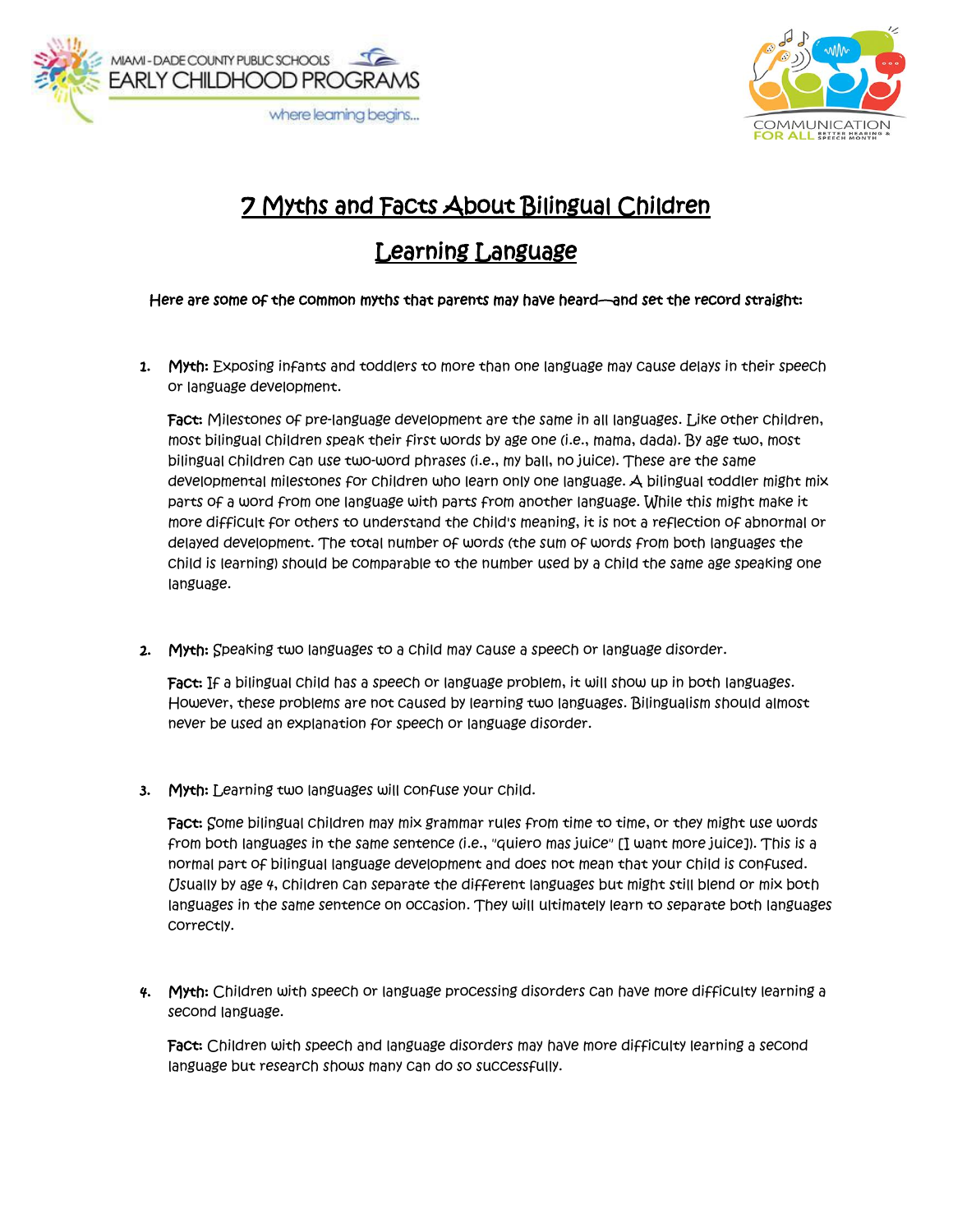



## 7 Myths and Facts About Bilingual Children

## Learning Language

## Here are some of the common myths that parents may have heard—and set the record straight:

1. Myth: Exposing infants and toddlers to more than one language may cause delays in their speech or language development.

Fact: Milestones of pre-language development are the same in all languages. Like other children, most bilingual children speak their first words by age one (i.e., mama, dada). By age two, most bilingual children can use two-word phrases (i.e., my ball, no juice). These are the same developmental milestones for children who learn only one language. A bilingual toddler might mix parts of a word from one language with parts from another language. While this might make it more difficult for others to understand the child's meaning, it is not a reflection of abnormal or delayed development. The total number of words (the sum of words from both languages the child is learning) should be comparable to the number used by a child the same age speaking one language.

2. Myth: Speaking two languages to a child may cause a speech or language disorder.

Fact: If a bilingual child has a speech or language problem, it will show up in both languages. However, these problems are not caused by learning two languages. Bilingualism should almost never be used an explanation for speech or language disorder.

3. Myth: Learning two languages will confuse your child.

Fact: Some bilingual children may mix grammar rules from time to time, or they might use words from both languages in the same sentence (i.e., "quiero mas juice" [I want more juice]). This is a normal part of bilingual language development and does not mean that your child is confused. Usually by age 4, children can separate the different languages but might still blend or mix both languages in the same sentence on occasion. They will ultimately learn to separate both languages correctly.

4. Myth: Children with speech or language processing disorders can have more difficulty learning a second language.

Fact: Children with speech and language disorders may have more difficulty learning a second language but research shows many can do so successfully.